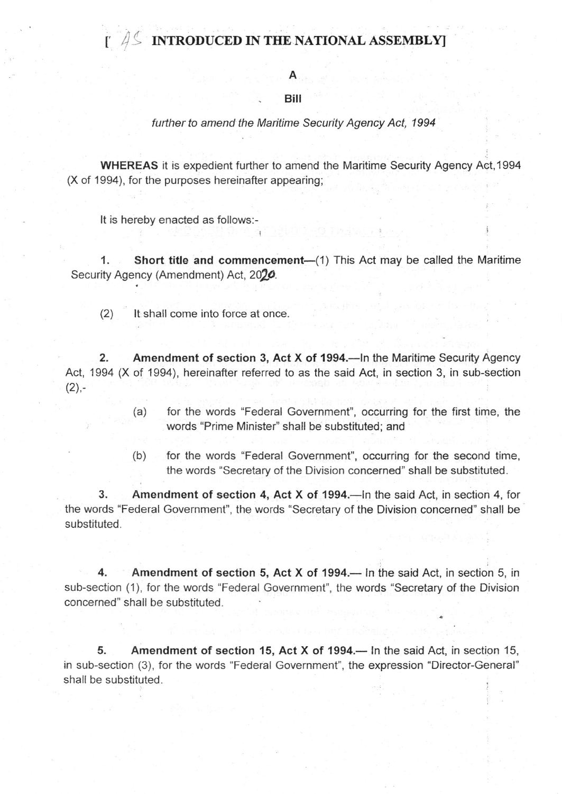## INTRODUCED IN THE NATIONAL ASSEMBLY

A

## Biil

## further to amend the Maritime Security Agency Act, 1994

WHEREAS it is expedient further to amend the Maritime Security Agency Act, 1994 (X of 199a), for the purposes hereinafter appearing;

It is hereby enacted as follows:-

t

1. Short title and commencement—(1) This Act may be called the Maritime Security Agency (Amendment) Act, 2020.

(2) lt shall come into force at once.

2. Amendment of section 3, Act X of 1994.—In the Maritime Security Agency Act, 1994 (X of 1994), hereinafter referred to as the said Act, in section 3, in sub-section  $(2)$ .

- (a) for the words "Federal Government", occurring for the first time, the words "Prime Minister" shall be substituted, and
- (b) for the words "Federal Government", occurring for the second time, the words "Secretary of the Division concerned" shall be substituted.

3. Amendment of section 4, Act X of 1994.—In the said Act, in section 4, for the words "Federal Government", the words "Secretary of the Division concerned" shall be substituted.

4. Amendment of section 5, Act X of 1994.— In the said Act, in section 5, in sub-section (1), for the words "Federal Government", the words "Secretary of the Division concerned" shall be substituted.

5. Amendment of section 15, Act X of 1994.— In the said Act, in section 15, in sub-section (3), for the words "Federal Government", the expression "Director-General" shall be substituted.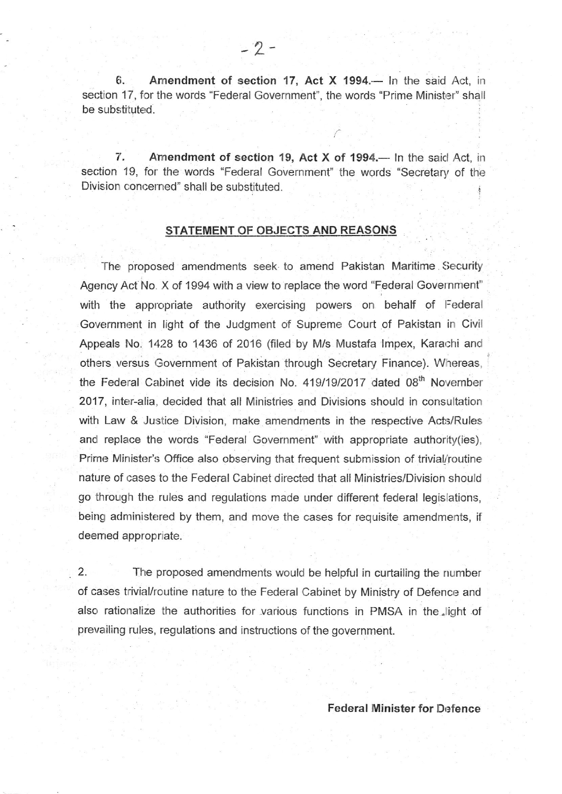6. Amendment of section 17, Act X 1994.— In the said Act, in section 17, for the words "Federal Government", the words "Prime Minister" shall be substituted.

7. Amendment of section 19, Act X of 1994.— In the said Act, in section 19, for the words "Federal Government" the words "Secretary of the Division concerned" shall be substituted. <sup>1</sup>

## STATEMENT OF OBJECTS AND REASONS

The proposed amendments seek to amend Pakistan Maritime Security Agency Act No. X of 1994 with a view to replace the word "Federal Government" with the appropriate authority exercising powers on behalf of Federal Government in light of the Judgment of Supreme Court of Pakistan in Civil Appeals No. 1428 to 1436 of 2016 (filed by M/s Mustafa Impex, Karachi and others versus Government of Pakistan through Secretary Finance). Whereas, the Federal Cabinet vide its decision No. 419/19/2017 dated 08<sup>th</sup> November 2017, inter-alia, decided that all Ministries and Divisions should in consultation with Law & Justice Division, make amendments in the respective Acts/Rules and replace the words "Federal Government" with appropriate authority(ies), Prime Minister's Office also observing that frequent submission of trivial'routine nature of cases to the Federal Cabinet directed that all Ministries/Division should go through the rules and regulations made under different federal legislations, being administered by them, and move the cases for requisite amendments, if deemed appropriate.

2. The proposed amendments would be helpful in curtailing the number of cases trivial/routine nature to the Federal Cabinet by Ministry of Defence and also rationalize the authorities for various functions in PMSA in the light of prevailing rules, regulations and instructions of the government.

Federal Minister for Defence